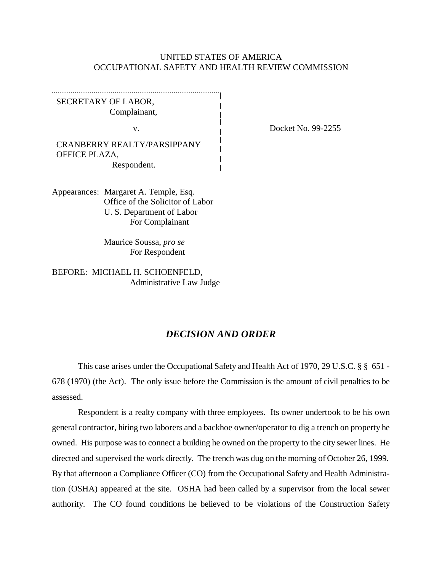## UNITED STATES OF AMERICA OCCUPATIONAL SAFETY AND HEALTH REVIEW COMMISSION

SECRETARY OF LABOR, Complainant,

CRANBERRY REALTY/PARSIPPANY OFFICE PLAZA, Respondent.

Appearances: Margaret A. Temple, Esq. Office of the Solicitor of Labor U. S. Department of Labor For Complainant

> Maurice Soussa, *pro se* For Respondent

BEFORE: MICHAEL H. SCHOENFELD, Administrative Law Judge

## *DECISION AND ORDER*

This case arises under the Occupational Safety and Health Act of 1970, 29 U.S.C. § § 651 - 678 (1970) (the Act). The only issue before the Commission is the amount of civil penalties to be assessed.

Respondent is a realty company with three employees. Its owner undertook to be his own general contractor, hiring two laborers and a backhoe owner/operator to dig a trench on property he owned. His purpose was to connect a building he owned on the property to the city sewer lines. He directed and supervised the work directly. The trench was dug on the morning of October 26, 1999. By that afternoon a Compliance Officer (CO) from the Occupational Safety and Health Administration (OSHA) appeared at the site. OSHA had been called by a supervisor from the local sewer authority. The CO found conditions he believed to be violations of the Construction Safety

v. Docket No. 99-2255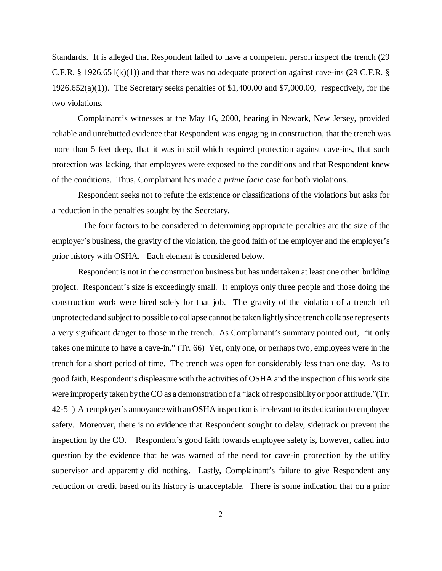Standards. It is alleged that Respondent failed to have a competent person inspect the trench (29 C.F.R. § 1926.651(k)(1)) and that there was no adequate protection against cave-ins (29 C.F.R. § 1926.652(a)(1)). The Secretary seeks penalties of \$1,400.00 and \$7,000.00, respectively, for the two violations.

Complainant's witnesses at the May 16, 2000, hearing in Newark, New Jersey, provided reliable and unrebutted evidence that Respondent was engaging in construction, that the trench was more than 5 feet deep, that it was in soil which required protection against cave-ins, that such protection was lacking, that employees were exposed to the conditions and that Respondent knew of the conditions. Thus, Complainant has made a *prime facie* case for both violations.

Respondent seeks not to refute the existence or classifications of the violations but asks for a reduction in the penalties sought by the Secretary.

 The four factors to be considered in determining appropriate penalties are the size of the employer's business, the gravity of the violation, the good faith of the employer and the employer's prior history with OSHA. Each element is considered below.

Respondent is not in the construction business but has undertaken at least one other building project. Respondent's size is exceedingly small. It employs only three people and those doing the construction work were hired solely for that job. The gravity of the violation of a trench left unprotected and subject to possible to collapse cannot be taken lightly since trench collapse represents a very significant danger to those in the trench. As Complainant's summary pointed out, "it only takes one minute to have a cave-in." (Tr. 66) Yet, only one, or perhaps two, employees were in the trench for a short period of time. The trench was open for considerably less than one day. As to good faith, Respondent's displeasure with the activities of OSHA and the inspection of his work site were improperly taken by the CO as a demonstration of a "lack of responsibility or poor attitude."(Tr. 42-51) An employer's annoyance with an OSHA inspection is irrelevant to its dedication to employee safety. Moreover, there is no evidence that Respondent sought to delay, sidetrack or prevent the inspection by the CO. Respondent's good faith towards employee safety is, however, called into question by the evidence that he was warned of the need for cave-in protection by the utility supervisor and apparently did nothing. Lastly, Complainant's failure to give Respondent any reduction or credit based on its history is unacceptable. There is some indication that on a prior